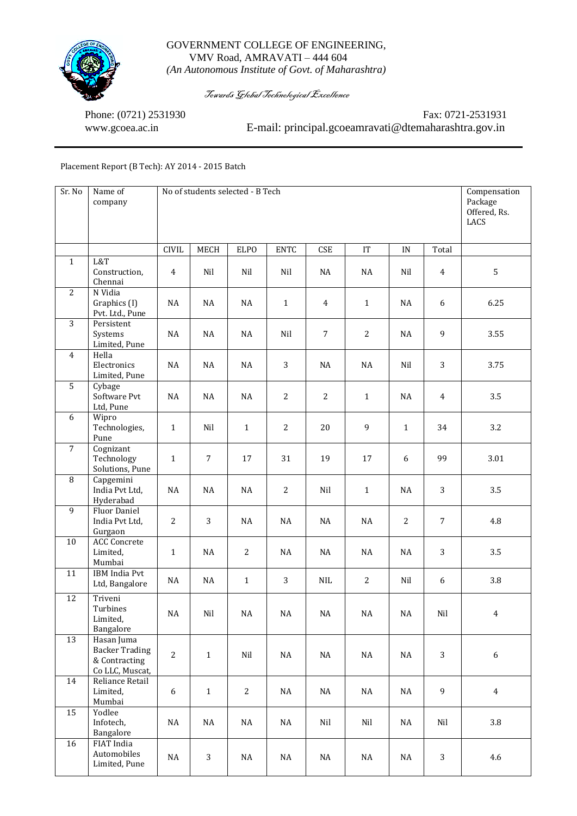

## GOVERNMENT COLLEGE OF ENGINEERING, VMV Road, AMRAVATI – 444 604 *(An Autonomous Institute of Govt. of Maharashtra)*

Towards Global Technological Excellence

Phone: (0721) 2531930 Fax: 0721-2531931 www.gcoea.ac.in E-mail: principal.gcoeamravati@dtemaharashtra.gov.in

## Placement Report (B Tech): AY 2014 - 2015 Batch

| Sr. No          | Name of<br>company                                                      | No of students selected - B Tech | Compensation<br>Package<br>Offered, Rs.<br>LACS |              |                |                |                |                |                |                  |
|-----------------|-------------------------------------------------------------------------|----------------------------------|-------------------------------------------------|--------------|----------------|----------------|----------------|----------------|----------------|------------------|
|                 |                                                                         | <b>CIVIL</b>                     | MECH                                            | <b>ELPO</b>  | <b>ENTC</b>    | CSE            | IT             | $\text{IN}{}$  | Total          |                  |
| $\mathbf{1}$    | L&T<br>Construction,<br>Chennai                                         | $\overline{4}$                   | Nil                                             | Nil          | Nil            | NA             | NA             | Nil            | $\overline{4}$ | 5                |
| $\overline{2}$  | N Vidia<br>Graphics (I)<br>Pvt. Ltd., Pune                              | NA                               | NA                                              | NA           | $1\,$          | 4              | $\mathbf{1}$   | NA             | 6              | 6.25             |
| $\overline{3}$  | Persistent<br>Systems<br>Limited, Pune                                  | $\rm NA$                         | $\rm NA$                                        | $\rm NA$     | Nil            | $\overline{7}$ | $\overline{2}$ | NA             | 9              | 3.55             |
| $\overline{4}$  | Hella<br>Electronics<br>Limited, Pune                                   | NA                               | NA                                              | NA           | 3              | NA             | NA             | Nil            | 3              | 3.75             |
| 5               | Cybage<br>Software Pvt<br>Ltd, Pune                                     | NA                               | NA                                              | NA           | $\overline{2}$ | 2              | $\mathbf{1}$   | NA             | $\overline{4}$ | 3.5              |
| 6               | Wipro<br>Technologies,<br>Pune                                          | $\mathbf{1}$                     | Nil                                             | $\mathbf{1}$ | $\overline{2}$ | 20             | 9              | $\mathbf{1}$   | 34             | 3.2              |
| $\overline{7}$  | Cognizant<br>Technology<br>Solutions, Pune                              | $\mathbf{1}$                     | $\overline{7}$                                  | 17           | 31             | 19             | 17             | 6              | 99             | 3.01             |
| 8               | Capgemini<br>India Pvt Ltd,<br>Hyderabad                                | NA                               | NA                                              | NA           | $\overline{c}$ | Nil            | $\mathbf{1}$   | NA             | 3              | 3.5              |
| 9               | Fluor Daniel<br>India Pvt Ltd,<br>Gurgaon                               | $\overline{2}$                   | 3                                               | NA           | NA             | NA             | NA             | $\overline{2}$ | $\overline{7}$ | 4.8              |
| 10              | <b>ACC Concrete</b><br>Limited,<br>Mumbai                               | $\mathbf{1}$                     | $\rm NA$                                        | $\sqrt{2}$   | $\rm NA$       | NA             | NA             | $_{\rm NA}$    | 3              | 3.5              |
| 11              | <b>IBM</b> India Pvt<br>Ltd, Bangalore                                  | NA                               | NA                                              | $\mathbf{1}$ | 3              | $\rm NIL$      | $\overline{2}$ | Nil            | 6              | 3.8              |
| $12\,$          | Triveni<br>Turbines<br>Limited,<br>Bangalore                            | NA                               | Nil                                             | $\rm NA$     | $\rm NA$       | NA             | $\sf NA$       | $\rm NA$       | Nil            | $\overline{4}$   |
| $\overline{13}$ | Hasan Juma<br><b>Backer Trading</b><br>& Contracting<br>Co LLC, Muscat, | $\overline{c}$                   | $1\,$                                           | Nil          | $\rm NA$       | NA             | NA             | NA             | 3              | $\boldsymbol{6}$ |
| 14              | Reliance Retail<br>Limited,<br>Mumbai                                   | $\boldsymbol{6}$                 | $\mathbf{1}$                                    | $\sqrt{2}$   | $\rm NA$       | $_{\rm NA}$    | NA             | NA             | 9              | $\overline{4}$   |
| 15              | Yodlee<br>Infotech,<br>Bangalore                                        | $\rm NA$                         | NA                                              | $\rm NA$     | $\rm NA$       | Nil            | Nil            | NA             | Nil            | 3.8              |
| 16              | FIAT India<br>Automobiles<br>Limited, Pune                              | $\rm NA$                         | $\mathbf{3}$                                    | $\rm NA$     | $\rm NA$       | NA             | NA             | NA             | 3              | 4.6              |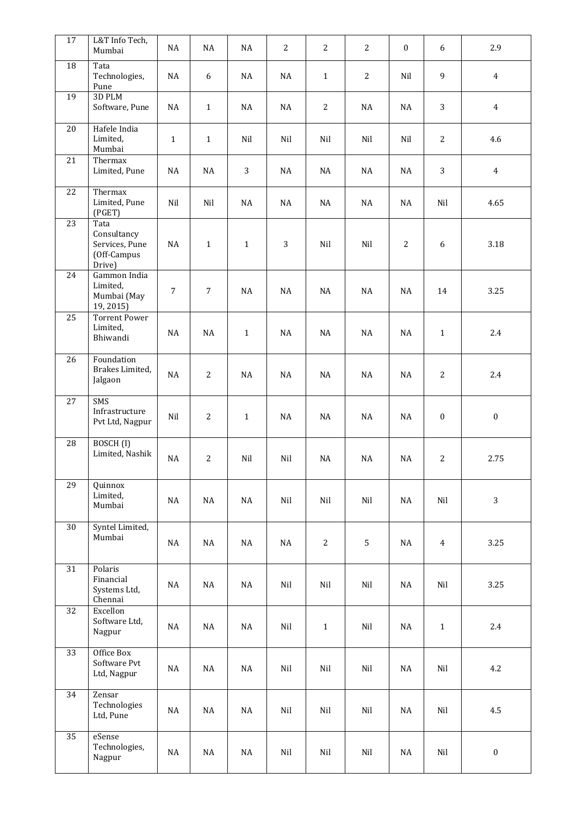| 17              | L&T Info Tech,<br>Mumbai                                       | NA             | NA             | NA           | 2        | $\overline{2}$ | $\overline{2}$ | $\boldsymbol{0}$ | 6                | 2.9              |
|-----------------|----------------------------------------------------------------|----------------|----------------|--------------|----------|----------------|----------------|------------------|------------------|------------------|
| 18              | Tata<br>Technologies,<br>Pune                                  | NA             | 6              | $\rm NA$     | NA       | $\mathbf{1}$   | $\overline{c}$ | Nil              | 9                | $\overline{4}$   |
| 19              | 3D PLM<br>Software, Pune                                       | NA             | $1\,$          | NA           | $\rm NA$ | $\overline{c}$ | NA             | NA               | 3                | $\overline{4}$   |
| 20              | Hafele India<br>Limited,<br>Mumbai                             | $\mathbf 1$    | $\mathbf{1}$   | Nil          | Nil      | Nil            | Nil            | Nil              | $\overline{2}$   | 4.6              |
| 21              | Thermax<br>Limited, Pune                                       | NA             | NA             | 3            | NA       | NA             | NA             | NA               | $\overline{3}$   | $\overline{4}$   |
| $\overline{22}$ | Thermax<br>Limited, Pune<br>(PGET)                             | Nil            | Nil            | NA           | NA       | NA             | NA             | NA               | Nil              | 4.65             |
| 23              | Tata<br>Consultancy<br>Services, Pune<br>(Off-Campus<br>Drive) | NA             | $\mathbf{1}$   | $\mathbf{1}$ | 3        | Nil            | Nil            | $\overline{2}$   | 6                | 3.18             |
| 24              | Gammon India<br>Limited,<br>Mumbai (May<br>19,2015)            | $\overline{7}$ | $\overline{7}$ | $\rm NA$     | $\rm NA$ | NA             | NA             | $\rm NA$         | 14               | 3.25             |
| 25              | <b>Torrent Power</b><br>Limited,<br>Bhiwandi                   | <b>NA</b>      | $\rm NA$       | $\mathbf{1}$ | $\rm NA$ | $\rm NA$       | NA             | $\rm NA$         | $\mathbf{1}$     | 2.4              |
| 26              | Foundation<br>Brakes Limited,<br>Jalgaon                       | NA             | $\overline{2}$ | NA           | NA       | NA             | NA             | NA               | $\overline{2}$   | 2.4              |
| $\overline{27}$ | SMS<br>Infrastructure<br>Pvt Ltd, Nagpur                       | Nil            | $\overline{2}$ | $\mathbf{1}$ | NA       | NA             | NA             | NA               | $\boldsymbol{0}$ | $\boldsymbol{0}$ |
| 28              | BOSCH <sub>(I)</sub><br>Limited, Nashik                        | NA             | $\overline{c}$ | Nil          | Nil      | NA             | NA             | NA               | $\overline{2}$   | 2.75             |
| $\overline{29}$ | Quinnox<br>Limited,<br>Mumbai                                  | $\rm NA$       | $\rm NA$       | $\rm NA$     | Nil      | Nil            | Nil            | NA               | Nil              | 3                |
| 30              | Syntel Limited,<br>Mumbai                                      | NA             | $\rm NA$       | $\rm NA$     | NA       | $\overline{c}$ | 5              | NA               | $\overline{4}$   | 3.25             |
| 31              | Polaris<br>Financial<br>Systems Ltd,<br>Chennai                | $\rm NA$       | NA             | NA           | Nil      | Nil            | Nil            | NA               | Nil              | 3.25             |
| 32              | Excellon<br>Software Ltd,<br>Nagpur                            | $\rm NA$       | $\rm NA$       | $\rm NA$     | Nil      | $\mathbf 1$    | Nil            | NA               | $1\,$            | 2.4              |
| $\overline{33}$ | Office Box<br>Software Pvt<br>Ltd, Nagpur                      | $\rm NA$       | NA             | NA           | Nil      | Nil            | Nil            | NA               | Nil              | 4.2              |
| 34              | Zensar<br>Technologies<br>Ltd, Pune                            | $\rm NA$       | $\rm NA$       | $\rm NA$     | Nil      | Nil            | Nil            | $\rm NA$         | Nil              | 4.5              |
| 35              | eSense<br>Technologies,<br>Nagpur                              | $\rm NA$       | $\rm NA$       | $\rm NA$     | Nil      | Nil            | Nil            | NA               | Nil              | $\boldsymbol{0}$ |